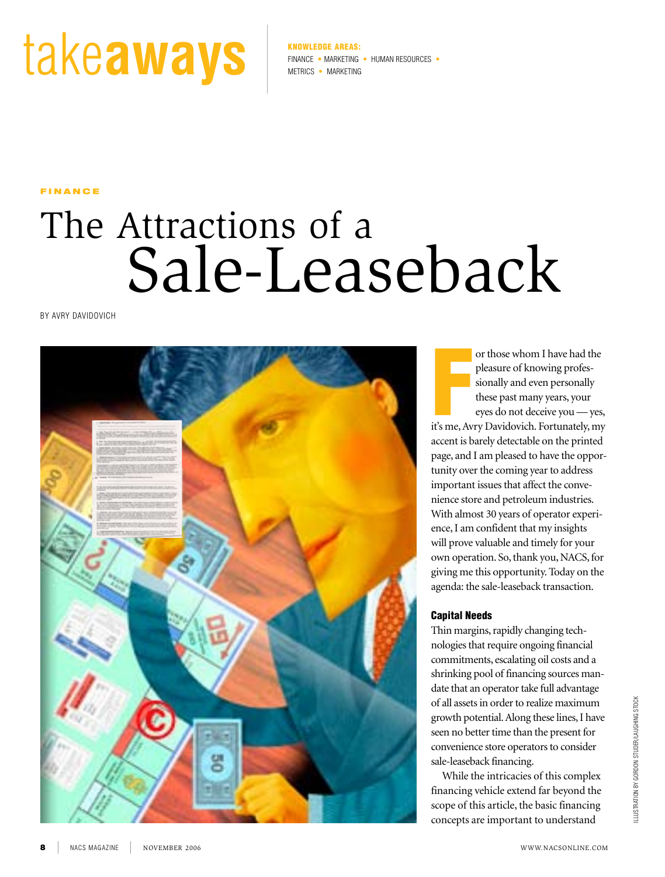# takeas:

FINANCE • MARKETING • HUMAN RESOURCES Metrics • MarketinG

**FINANCE** 

## The Attractions of a Sale-Leaseback

by aVry daVidoVich



or those whom I have had the<br>pleasure of knowing profes-<br>sionally and even personally<br>these past many years, your<br>eyes do not deceive you — yes,<br>it's me, Avry Davidovich. Fortunately, my or those whom I have had the pleasure of knowing professionally and even personally these past many years, your eyes do not deceive you — yes, accent is barely detectable on the printed page, and I am pleased to have the opportunity over the coming year to address important issues that affect the convenience store and petroleum industries. With almost 30 years of operator experience, I am confident that my insights will prove valuable and timely for your own operation. So, thank you, NACS, for giving me this opportunity. Today on the agenda: the sale-leaseback transaction.

#### Capital Needs

Thin margins, rapidly changing technologies that require ongoing financial commitments, escalating oil costs and a shrinking pool of financing sources mandate that an operator take full advantage of all assets in order to realize maximum growth potential. Along these lines, I have seen no better time than the present for convenience store operators to consider sale-leaseback financing.

While the intricacies of this complex financing vehicle extend far beyond the scope of this article, the basic financing concepts are important to understand